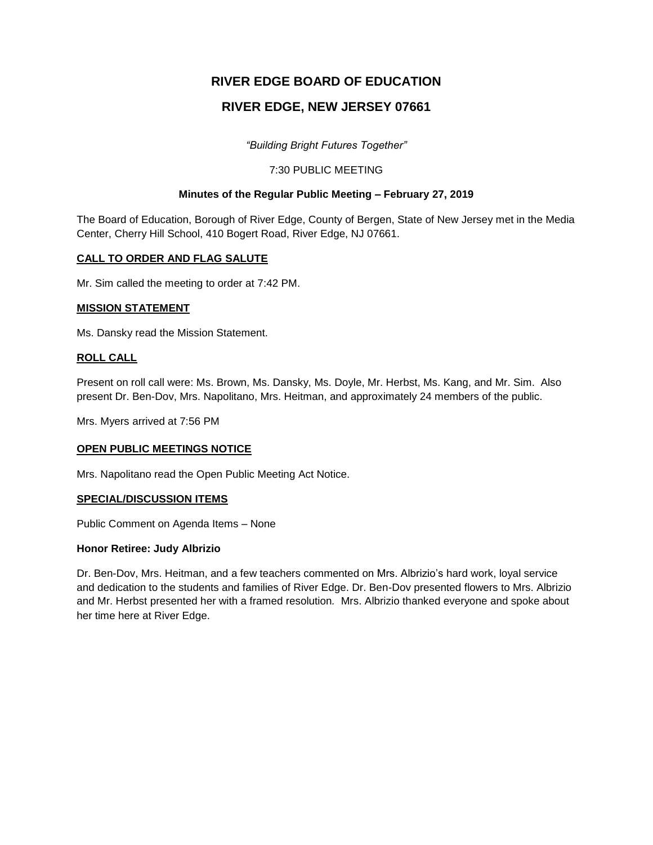# **RIVER EDGE BOARD OF EDUCATION**

# **RIVER EDGE, NEW JERSEY 07661**

*"Building Bright Futures Together"*

# 7:30 PUBLIC MEETING

# **Minutes of the Regular Public Meeting – February 27, 2019**

The Board of Education, Borough of River Edge, County of Bergen, State of New Jersey met in the Media Center, Cherry Hill School, 410 Bogert Road, River Edge, NJ 07661.

# **CALL TO ORDER AND FLAG SALUTE**

Mr. Sim called the meeting to order at 7:42 PM.

# **MISSION STATEMENT**

Ms. Dansky read the Mission Statement.

# **ROLL CALL**

Present on roll call were: Ms. Brown, Ms. Dansky, Ms. Doyle, Mr. Herbst, Ms. Kang, and Mr. Sim. Also present Dr. Ben-Dov, Mrs. Napolitano, Mrs. Heitman, and approximately 24 members of the public.

Mrs. Myers arrived at 7:56 PM

# **OPEN PUBLIC MEETINGS NOTICE**

Mrs. Napolitano read the Open Public Meeting Act Notice.

# **SPECIAL/DISCUSSION ITEMS**

Public Comment on Agenda Items – None

#### **Honor Retiree: Judy Albrizio**

Dr. Ben-Dov, Mrs. Heitman, and a few teachers commented on Mrs. Albrizio's hard work, loyal service and dedication to the students and families of River Edge. Dr. Ben-Dov presented flowers to Mrs. Albrizio and Mr. Herbst presented her with a framed resolution*.* Mrs. Albrizio thanked everyone and spoke about her time here at River Edge.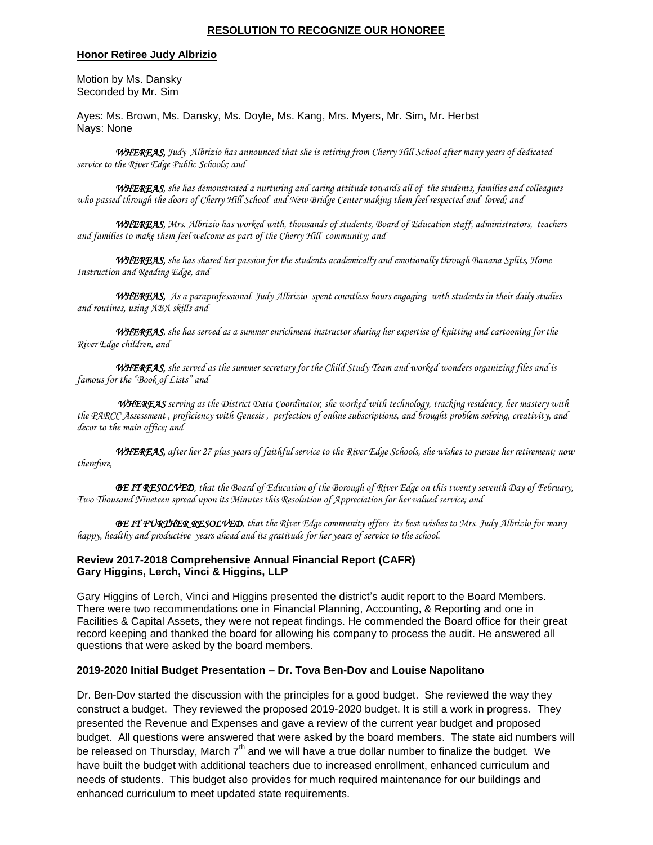#### **RESOLUTION TO RECOGNIZE OUR HONOREE**

#### **Honor Retiree Judy Albrizio**

Motion by Ms. Dansky Seconded by Mr. Sim

Ayes: Ms. Brown, Ms. Dansky, Ms. Doyle, Ms. Kang, Mrs. Myers, Mr. Sim, Mr. Herbst Nays: None

*WHEREAS, Judy Albrizio has announced that she is retiring from Cherry Hill School after many years of dedicated service to the River Edge Public Schools; and*

*WHEREAS, she has demonstrated a nurturing and caring attitude towards all of the students, families and colleagues who passed through the doors of Cherry Hill School and New Bridge Center making them feel respected and loved; and*

*WHEREAS, Mrs. Albrizio has worked with, thousands of students, Board of Education staff, administrators, teachers and families to make them feel welcome as part of the Cherry Hill community; and*

*WHEREAS, she has shared her passion for the students academically and emotionally through Banana Splits, Home Instruction and Reading Edge, and* 

*WHEREAS, As a paraprofessional Judy Albrizio spent countless hours engaging with students in their daily studies and routines, using ABA skills and* 

 *WHEREAS, she has served as a summer enrichment instructor sharing her expertise of knitting and cartooning for the River Edge children, and* 

 *WHEREAS, she served as the summer secretary for the Child Study Team and worked wonders organizing files and is famous for the "Book of Lists" and*

*WHEREAS serving as the District Data Coordinator, she worked with technology, tracking residency, her mastery with the PARCC Assessment , proficiency with Genesis , perfection of online subscriptions, and brought problem solving, creativity, and decor to the main office; and*

*WHEREAS, after her 27 plus years of faithful service to the River Edge Schools, she wishes to pursue her retirement; now therefore,*

*BE IT RESOLVED, that the Board of Education of the Borough of River Edge on this twenty seventh Day of February, Two Thousand Nineteen spread upon its Minutes this Resolution of Appreciation for her valued service; and*

*BE IT FURTHER RESOLVED, that the River Edge community offers its best wishes to Mrs. Judy Albrizio for many happy, healthy and productive years ahead and its gratitude for her years of service to the school.* 

#### **Review 2017-2018 Comprehensive Annual Financial Report (CAFR) Gary Higgins, Lerch, Vinci & Higgins, LLP**

Gary Higgins of Lerch, Vinci and Higgins presented the district's audit report to the Board Members. There were two recommendations one in Financial Planning, Accounting, & Reporting and one in Facilities & Capital Assets, they were not repeat findings. He commended the Board office for their great record keeping and thanked the board for allowing his company to process the audit. He answered all questions that were asked by the board members.

#### **2019-2020 Initial Budget Presentation – Dr. Tova Ben-Dov and Louise Napolitano**

Dr. Ben-Dov started the discussion with the principles for a good budget. She reviewed the way they construct a budget. They reviewed the proposed 2019-2020 budget. It is still a work in progress. They presented the Revenue and Expenses and gave a review of the current year budget and proposed budget. All questions were answered that were asked by the board members. The state aid numbers will be released on Thursday, March  $7<sup>th</sup>$  and we will have a true dollar number to finalize the budget. We have built the budget with additional teachers due to increased enrollment, enhanced curriculum and needs of students. This budget also provides for much required maintenance for our buildings and enhanced curriculum to meet updated state requirements.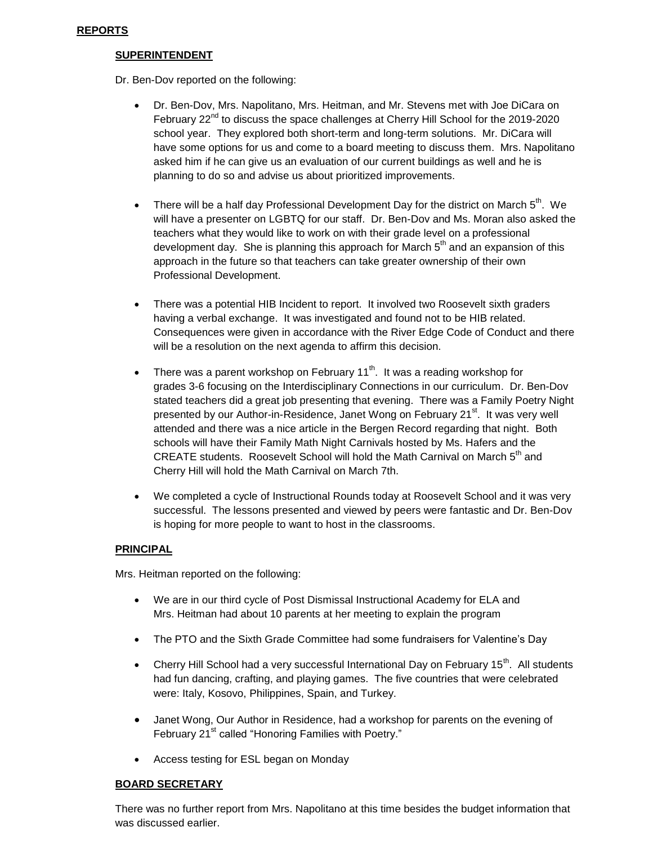#### **REPORTS**

#### **SUPERINTENDENT**

Dr. Ben-Dov reported on the following:

- Dr. Ben-Dov, Mrs. Napolitano, Mrs. Heitman, and Mr. Stevens met with Joe DiCara on February  $22^{nd}$  to discuss the space challenges at Cherry Hill School for the 2019-2020 school year. They explored both short-term and long-term solutions. Mr. DiCara will have some options for us and come to a board meeting to discuss them. Mrs. Napolitano asked him if he can give us an evaluation of our current buildings as well and he is planning to do so and advise us about prioritized improvements.
- There will be a half day Professional Development Day for the district on March  $5<sup>th</sup>$ . We will have a presenter on LGBTQ for our staff. Dr. Ben-Dov and Ms. Moran also asked the teachers what they would like to work on with their grade level on a professional development day. She is planning this approach for March  $5<sup>th</sup>$  and an expansion of this approach in the future so that teachers can take greater ownership of their own Professional Development.
- There was a potential HIB Incident to report. It involved two Roosevelt sixth graders having a verbal exchange. It was investigated and found not to be HIB related. Consequences were given in accordance with the River Edge Code of Conduct and there will be a resolution on the next agenda to affirm this decision.
- There was a parent workshop on February 11<sup>th</sup>. It was a reading workshop for grades 3-6 focusing on the Interdisciplinary Connections in our curriculum. Dr. Ben-Dov stated teachers did a great job presenting that evening. There was a Family Poetry Night presented by our Author-in-Residence, Janet Wong on February 21<sup>st</sup>. It was very well attended and there was a nice article in the Bergen Record regarding that night. Both schools will have their Family Math Night Carnivals hosted by Ms. Hafers and the CREATE students. Roosevelt School will hold the Math Carnival on March 5<sup>th</sup> and Cherry Hill will hold the Math Carnival on March 7th.
- We completed a cycle of Instructional Rounds today at Roosevelt School and it was very successful. The lessons presented and viewed by peers were fantastic and Dr. Ben-Dov is hoping for more people to want to host in the classrooms.

# **PRINCIPAL**

Mrs. Heitman reported on the following:

- We are in our third cycle of Post Dismissal Instructional Academy for ELA and Mrs. Heitman had about 10 parents at her meeting to explain the program
- The PTO and the Sixth Grade Committee had some fundraisers for Valentine's Day
- Cherry Hill School had a very successful International Day on February 15<sup>th</sup>. All students had fun dancing, crafting, and playing games. The five countries that were celebrated were: Italy, Kosovo, Philippines, Spain, and Turkey.
- Janet Wong, Our Author in Residence, had a workshop for parents on the evening of February 21<sup>st</sup> called "Honoring Families with Poetry."
- Access testing for ESL began on Monday

# **BOARD SECRETARY**

There was no further report from Mrs. Napolitano at this time besides the budget information that was discussed earlier.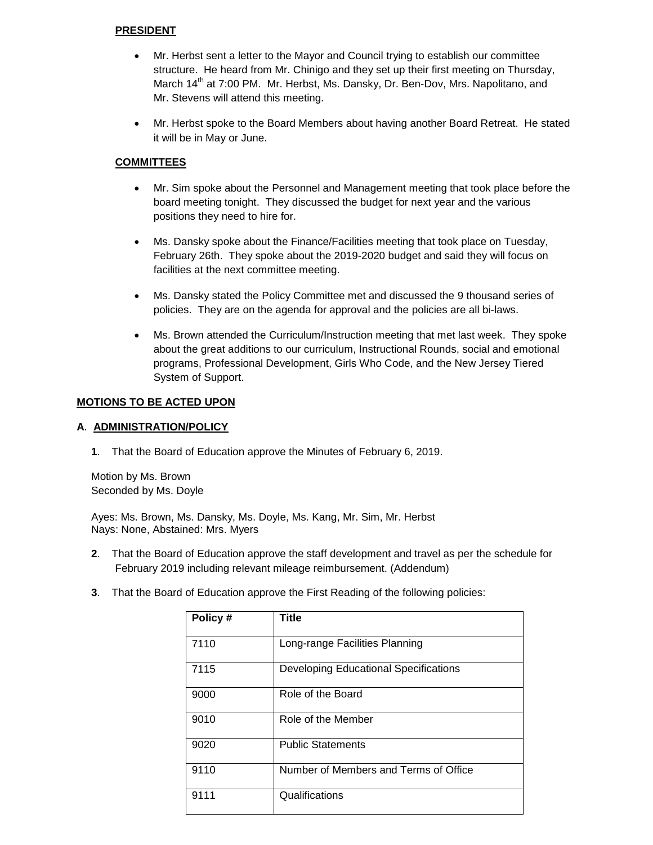#### **PRESIDENT**

- Mr. Herbst sent a letter to the Mayor and Council trying to establish our committee structure. He heard from Mr. Chinigo and they set up their first meeting on Thursday, March 14<sup>th</sup> at 7:00 PM. Mr. Herbst, Ms. Dansky, Dr. Ben-Dov, Mrs. Napolitano, and Mr. Stevens will attend this meeting.
- Mr. Herbst spoke to the Board Members about having another Board Retreat. He stated it will be in May or June.

# **COMMITTEES**

- Mr. Sim spoke about the Personnel and Management meeting that took place before the board meeting tonight. They discussed the budget for next year and the various positions they need to hire for.
- Ms. Dansky spoke about the Finance/Facilities meeting that took place on Tuesday, February 26th. They spoke about the 2019-2020 budget and said they will focus on facilities at the next committee meeting.
- Ms. Dansky stated the Policy Committee met and discussed the 9 thousand series of policies. They are on the agenda for approval and the policies are all bi-laws.
- Ms. Brown attended the Curriculum/Instruction meeting that met last week. They spoke about the great additions to our curriculum, Instructional Rounds, social and emotional programs, Professional Development, Girls Who Code, and the New Jersey Tiered System of Support.

# **MOTIONS TO BE ACTED UPON**

#### **A**. **ADMINISTRATION/POLICY**

**1**. That the Board of Education approve the Minutes of February 6, 2019.

Motion by Ms. Brown Seconded by Ms. Doyle

Ayes: Ms. Brown, Ms. Dansky, Ms. Doyle, Ms. Kang, Mr. Sim, Mr. Herbst Nays: None, Abstained: Mrs. Myers

- **2**. That the Board of Education approve the staff development and travel as per the schedule for February 2019 including relevant mileage reimbursement. (Addendum)
- **3**. That the Board of Education approve the First Reading of the following policies:

|         | Title                                 |
|---------|---------------------------------------|
| Policy# |                                       |
|         |                                       |
| 7110    | Long-range Facilities Planning        |
| 7115    | Developing Educational Specifications |
| 9000    | Role of the Board                     |
| 9010    | Role of the Member                    |
| 9020    | <b>Public Statements</b>              |
| 9110    | Number of Members and Terms of Office |
| 9111    | Qualifications                        |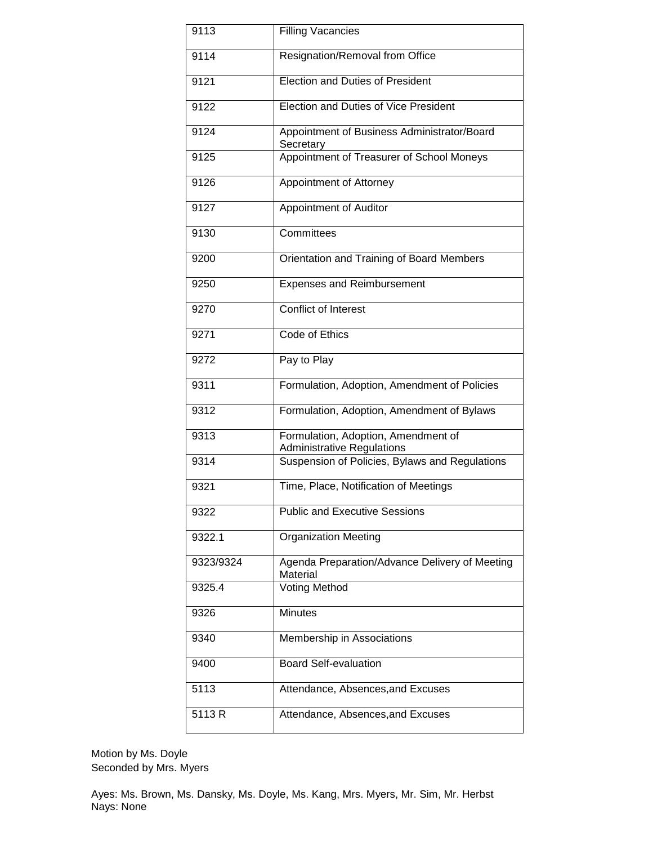| 9113      | <b>Filling Vacancies</b>                                                 |  |
|-----------|--------------------------------------------------------------------------|--|
| 9114      | Resignation/Removal from Office                                          |  |
| 9121      | <b>Election and Duties of President</b>                                  |  |
| 9122      | Election and Duties of Vice President                                    |  |
| 9124      | Appointment of Business Administrator/Board<br>Secretary                 |  |
| 9125      | Appointment of Treasurer of School Moneys                                |  |
| 9126      | Appointment of Attorney                                                  |  |
| 9127      | Appointment of Auditor                                                   |  |
| 9130      | Committees                                                               |  |
| 9200      | Orientation and Training of Board Members                                |  |
| 9250      | <b>Expenses and Reimbursement</b>                                        |  |
| 9270      | <b>Conflict of Interest</b>                                              |  |
| 9271      | Code of Ethics                                                           |  |
| 9272      | Pay to Play                                                              |  |
| 9311      | Formulation, Adoption, Amendment of Policies                             |  |
| 9312      | Formulation, Adoption, Amendment of Bylaws                               |  |
| 9313      | Formulation, Adoption, Amendment of<br><b>Administrative Regulations</b> |  |
| 9314      | Suspension of Policies, Bylaws and Regulations                           |  |
| 9321      | Time, Place, Notification of Meetings                                    |  |
| 9322      | <b>Public and Executive Sessions</b>                                     |  |
| 9322.1    | <b>Organization Meeting</b>                                              |  |
| 9323/9324 | Agenda Preparation/Advance Delivery of Meeting<br>Material               |  |
| 9325.4    | Voting Method                                                            |  |
| 9326      | <b>Minutes</b>                                                           |  |
| 9340      | Membership in Associations                                               |  |
| 9400      | <b>Board Self-evaluation</b>                                             |  |
| 5113      | Attendance, Absences, and Excuses                                        |  |
| 5113R     | Attendance, Absences, and Excuses                                        |  |

Motion by Ms. Doyle Seconded by Mrs. Myers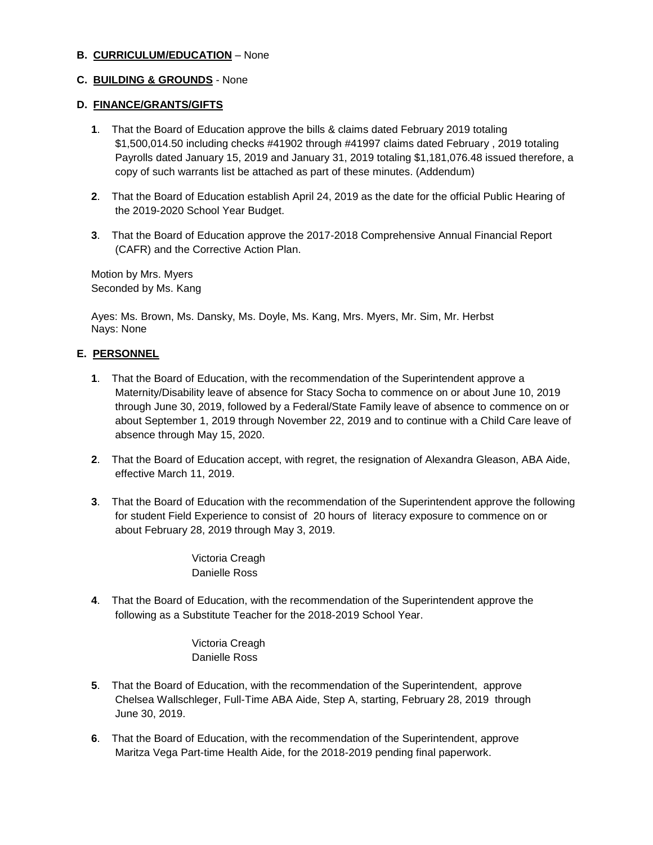#### **B. CURRICULUM/EDUCATION** – None

# **C. BUILDING & GROUNDS** - None

#### **D. FINANCE/GRANTS/GIFTS**

- **1**. That the Board of Education approve the bills & claims dated February 2019 totaling \$1,500,014.50 including checks #41902 through #41997 claims dated February , 2019 totaling Payrolls dated January 15, 2019 and January 31, 2019 totaling \$1,181,076.48 issued therefore, a copy of such warrants list be attached as part of these minutes. (Addendum)
- **2**. That the Board of Education establish April 24, 2019 as the date for the official Public Hearing of the 2019-2020 School Year Budget.
- **3**. That the Board of Education approve the 2017-2018 Comprehensive Annual Financial Report (CAFR) and the Corrective Action Plan.

Motion by Mrs. Myers Seconded by Ms. Kang

Ayes: Ms. Brown, Ms. Dansky, Ms. Doyle, Ms. Kang, Mrs. Myers, Mr. Sim, Mr. Herbst Nays: None

# **E. PERSONNEL**

- **1**. That the Board of Education, with the recommendation of the Superintendent approve a Maternity/Disability leave of absence for Stacy Socha to commence on or about June 10, 2019 through June 30, 2019, followed by a Federal/State Family leave of absence to commence on or about September 1, 2019 through November 22, 2019 and to continue with a Child Care leave of absence through May 15, 2020.
- **2**. That the Board of Education accept, with regret, the resignation of Alexandra Gleason, ABA Aide, effective March 11, 2019.
- **3**. That the Board of Education with the recommendation of the Superintendent approve the following for student Field Experience to consist of 20 hours of literacy exposure to commence on or about February 28, 2019 through May 3, 2019.

Victoria Creagh Danielle Ross

**4**. That the Board of Education, with the recommendation of the Superintendent approve the following as a Substitute Teacher for the 2018-2019 School Year.

> Victoria Creagh Danielle Ross

- **5**. That the Board of Education, with the recommendation of the Superintendent, approve Chelsea Wallschleger, Full-Time ABA Aide, Step A, starting, February 28, 2019 through June 30, 2019.
- **6**. That the Board of Education, with the recommendation of the Superintendent, approve Maritza Vega Part-time Health Aide, for the 2018-2019 pending final paperwork.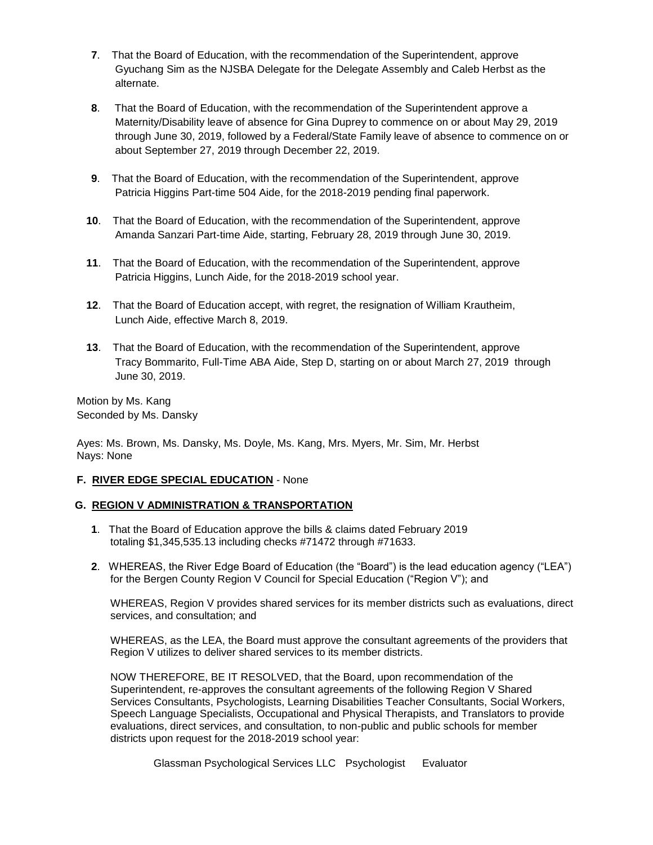- **7**. That the Board of Education, with the recommendation of the Superintendent, approve Gyuchang Sim as the NJSBA Delegate for the Delegate Assembly and Caleb Herbst as the alternate.
- **8**. That the Board of Education, with the recommendation of the Superintendent approve a Maternity/Disability leave of absence for Gina Duprey to commence on or about May 29, 2019 through June 30, 2019, followed by a Federal/State Family leave of absence to commence on or about September 27, 2019 through December 22, 2019.
- **9**. That the Board of Education, with the recommendation of the Superintendent, approve Patricia Higgins Part-time 504 Aide, for the 2018-2019 pending final paperwork.
- **10**. That the Board of Education, with the recommendation of the Superintendent, approve Amanda Sanzari Part-time Aide, starting, February 28, 2019 through June 30, 2019.
- **11**. That the Board of Education, with the recommendation of the Superintendent, approve Patricia Higgins, Lunch Aide, for the 2018-2019 school year.
- **12**. That the Board of Education accept, with regret, the resignation of William Krautheim, Lunch Aide, effective March 8, 2019.
- **13**. That the Board of Education, with the recommendation of the Superintendent, approve Tracy Bommarito, Full-Time ABA Aide, Step D, starting on or about March 27, 2019 through June 30, 2019.

Motion by Ms. Kang Seconded by Ms. Dansky

Ayes: Ms. Brown, Ms. Dansky, Ms. Doyle, Ms. Kang, Mrs. Myers, Mr. Sim, Mr. Herbst Nays: None

# **F. RIVER EDGE SPECIAL EDUCATION** - None

#### **G. REGION V ADMINISTRATION & TRANSPORTATION**

- **1**. That the Board of Education approve the bills & claims dated February 2019 totaling \$1,345,535.13 including checks #71472 through #71633.
- **2**. WHEREAS, the River Edge Board of Education (the "Board") is the lead education agency ("LEA") for the Bergen County Region V Council for Special Education ("Region V"); and

WHEREAS, Region V provides shared services for its member districts such as evaluations, direct services, and consultation; and

WHEREAS, as the LEA, the Board must approve the consultant agreements of the providers that Region V utilizes to deliver shared services to its member districts.

NOW THEREFORE, BE IT RESOLVED, that the Board, upon recommendation of the Superintendent, re-approves the consultant agreements of the following Region V Shared Services Consultants, Psychologists, Learning Disabilities Teacher Consultants, Social Workers, Speech Language Specialists, Occupational and Physical Therapists, and Translators to provide evaluations, direct services, and consultation, to non-public and public schools for member districts upon request for the 2018-2019 school year:

Glassman Psychological Services LLC Psychologist Evaluator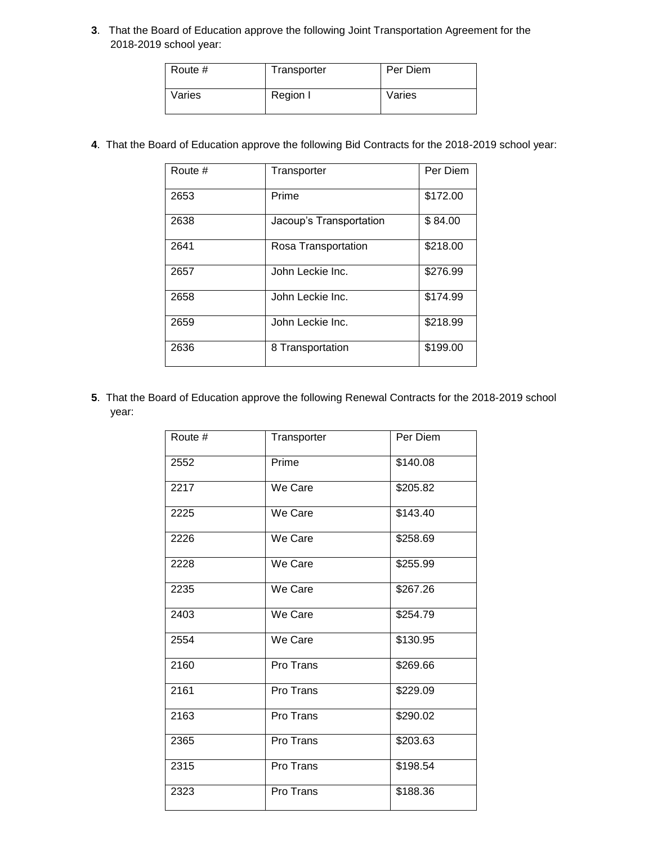. That the Board of Education approve the following Joint Transportation Agreement for the 2018-2019 school year:

| Route # | Transporter | Per Diem |
|---------|-------------|----------|
| Varies  | Region I    | Varies   |

. That the Board of Education approve the following Bid Contracts for the 2018-2019 school year:

| Route # | Transporter             | Per Diem |
|---------|-------------------------|----------|
|         |                         |          |
| 2653    | Prime                   | \$172.00 |
|         |                         |          |
| 2638    | Jacoup's Transportation | \$84.00  |
|         |                         |          |
| 2641    | Rosa Transportation     | \$218.00 |
|         |                         |          |
| 2657    | John Leckie Inc.        | \$276.99 |
|         |                         |          |
| 2658    | John Leckie Inc.        | \$174.99 |
|         |                         |          |
| 2659    | John Leckie Inc.        | \$218.99 |
|         |                         |          |
| 2636    | 8 Transportation        | \$199.00 |
|         |                         |          |
|         |                         |          |

. That the Board of Education approve the following Renewal Contracts for the 2018-2019 school year:

| Route # | Transporter | Per Diem |
|---------|-------------|----------|
| 2552    | Prime       | \$140.08 |
| 2217    | We Care     | \$205.82 |
| 2225    | We Care     | \$143.40 |
| 2226    | We Care     | \$258.69 |
| 2228    | We Care     | \$255.99 |
| 2235    | We Care     | \$267.26 |
| 2403    | We Care     | \$254.79 |
| 2554    | We Care     | \$130.95 |
| 2160    | Pro Trans   | \$269.66 |
| 2161    | Pro Trans   | \$229.09 |
| 2163    | Pro Trans   | \$290.02 |
| 2365    | Pro Trans   | \$203.63 |
| 2315    | Pro Trans   | \$198.54 |
| 2323    | Pro Trans   | \$188.36 |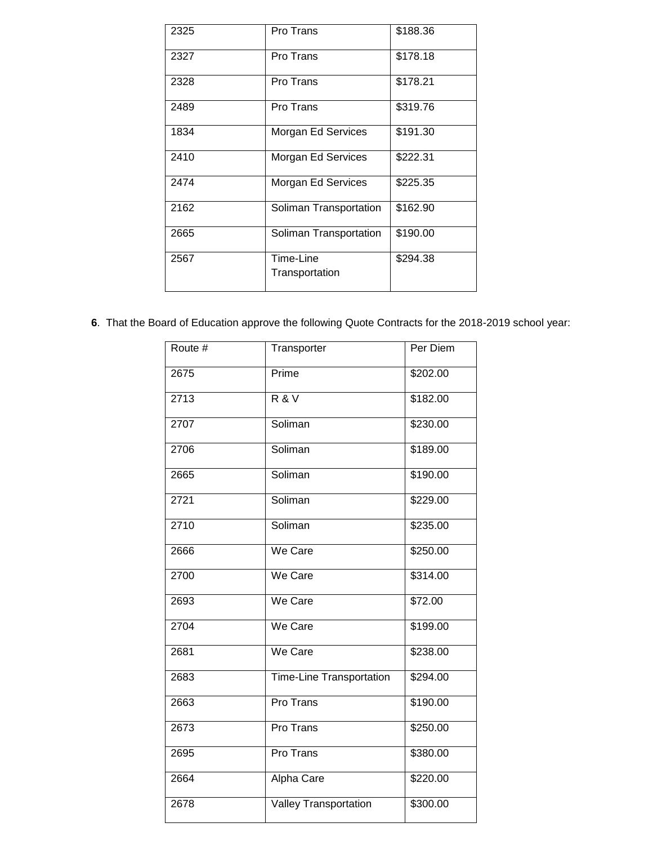| 2325 | Pro Trans                   | \$188.36 |
|------|-----------------------------|----------|
| 2327 | Pro Trans                   | \$178.18 |
| 2328 | Pro Trans                   | \$178.21 |
| 2489 | Pro Trans                   | \$319.76 |
| 1834 | Morgan Ed Services          | \$191.30 |
| 2410 | Morgan Ed Services          | \$222.31 |
| 2474 | Morgan Ed Services          | \$225.35 |
| 2162 | Soliman Transportation      | \$162.90 |
| 2665 | Soliman Transportation      | \$190.00 |
| 2567 | Time-Line<br>Transportation | \$294.38 |

. That the Board of Education approve the following Quote Contracts for the 2018-2019 school year:

| Route # | Transporter                     | Per Diem |
|---------|---------------------------------|----------|
| 2675    | Prime                           | \$202.00 |
| 2713    | <b>R&amp;V</b>                  | \$182.00 |
| 2707    | Soliman                         | \$230.00 |
| 2706    | Soliman                         | \$189.00 |
| 2665    | Soliman                         | \$190.00 |
| 2721    | Soliman                         | \$229.00 |
| 2710    | Soliman                         | \$235.00 |
| 2666    | We Care                         | \$250.00 |
| 2700    | We Care                         | 3314.00  |
| 2693    | We Care                         | \$72.00  |
| 2704    | We Care                         | \$199.00 |
| 2681    | We Care                         | \$238.00 |
| 2683    | <b>Time-Line Transportation</b> | \$294.00 |
| 2663    | Pro Trans                       | \$190.00 |
| 2673    | Pro Trans                       | \$250.00 |
| 2695    | Pro Trans                       | \$380.00 |
| 2664    | Alpha Care                      | \$220.00 |
| 2678    | Valley Transportation           | \$300.00 |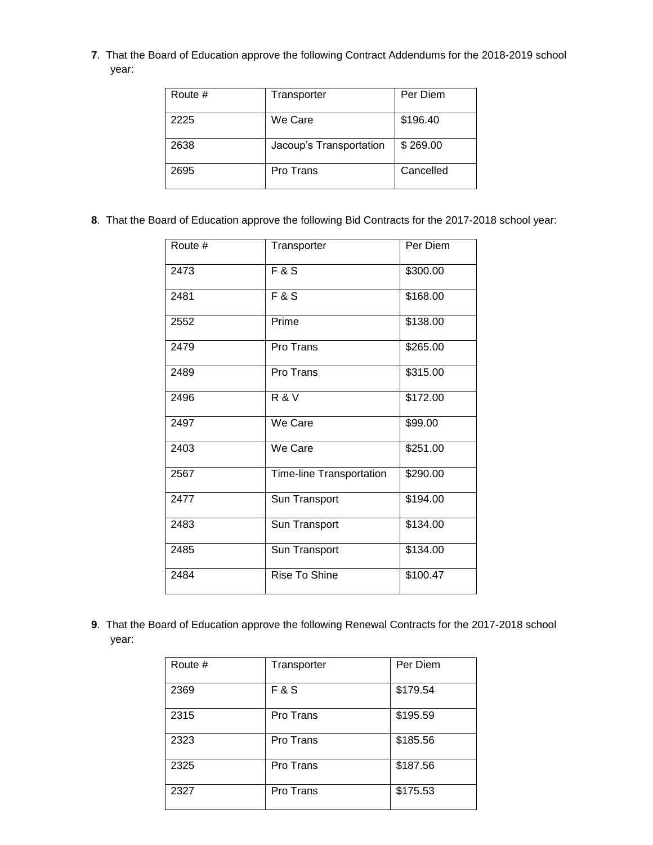. That the Board of Education approve the following Contract Addendums for the 2018-2019 school year:

| Route # | Transporter             | Per Diem  |
|---------|-------------------------|-----------|
| 2225    | We Care                 | \$196.40  |
| 2638    | Jacoup's Transportation | \$269.00  |
| 2695    | Pro Trans               | Cancelled |

. That the Board of Education approve the following Bid Contracts for the 2017-2018 school year:

| Route # | Transporter              | Per Diem |
|---------|--------------------------|----------|
| 2473    | <b>F&amp;S</b>           | \$300.00 |
| 2481    | <b>F&amp;S</b>           | \$168.00 |
| 2552    | Prime                    | \$138.00 |
| 2479    | Pro Trans                | \$265.00 |
| 2489    | Pro Trans                | \$315.00 |
| 2496    | <b>R&amp;V</b>           | \$172.00 |
| 2497    | We Care                  | \$99.00  |
| 2403    | We Care                  | \$251.00 |
| 2567    | Time-line Transportation | \$290.00 |
| 2477    | Sun Transport            | \$194.00 |
| 2483    | Sun Transport            | \$134.00 |
| 2485    | Sun Transport            | \$134.00 |
| 2484    | <b>Rise To Shine</b>     | \$100.47 |

. That the Board of Education approve the following Renewal Contracts for the 2017-2018 school year:

| Route # | Transporter    | Per Diem |
|---------|----------------|----------|
| 2369    | <b>F&amp;S</b> | \$179.54 |
| 2315    | Pro Trans      | \$195.59 |
| 2323    | Pro Trans      | \$185.56 |
| 2325    | Pro Trans      | \$187.56 |
| 2327    | Pro Trans      | \$175.53 |